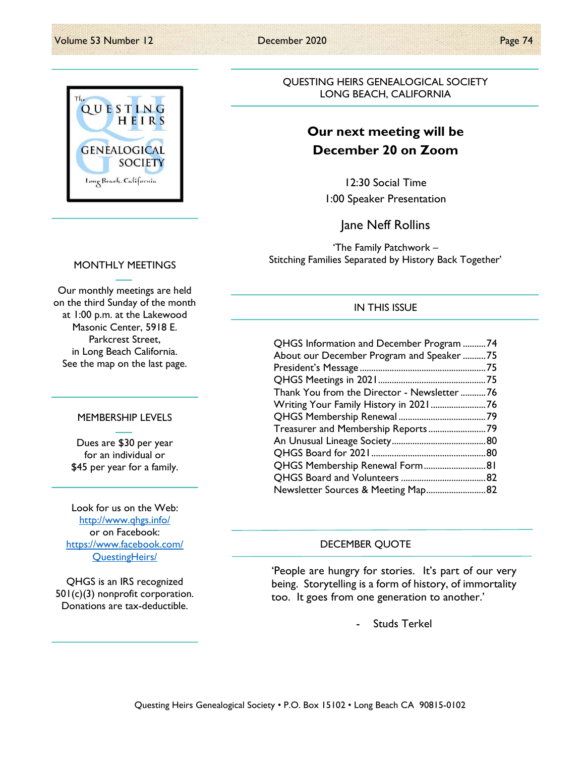

QUESTING HEIRS GENEALOGICAL SOCIETY LONG BEACH, CALIFORNIA

# Our next meeting will be December 20 on Zoom

12:30 Social Time 1:00 Speaker Presentation

Jane Neff Rollins

'The Family Patchwork – Stitching Families Separated by History Back Together'

## MONTHLY MEETINGS

Our monthly meetings are held on the third Sunday of the month at 1:00 p.m. at the Lakewood Masonic Center, 5918 E. Parkcrest Street, in Long Beach California. See the map on the last page.

## MEMBERSHIP LEVELS

Dues are \$30 per year for an individual or \$45 per year for a family.

Look for us on the Web: http://www.qhgs.info/ or on Facebook: https://www.facebook.com/ QuestingHeirs/

QHGS is an IRS recognized 501(c)(3) nonprofit corporation. Donations are tax-deductible.

## IN THIS ISSUE

| QHGS Information and December Program 74    |  |
|---------------------------------------------|--|
| About our December Program and Speaker 75   |  |
|                                             |  |
|                                             |  |
| Thank You from the Director - Newsletter 76 |  |
|                                             |  |
|                                             |  |
|                                             |  |
|                                             |  |
|                                             |  |
| QHGS Membership Renewal Form 81             |  |
|                                             |  |
| Newsletter Sources & Meeting Map82          |  |

## DECEMBER QUOTE

'People are hungry for stories. It's part of our very being. Storytelling is a form of history, of immortality too. It goes from one generation to another.'

Studs Terkel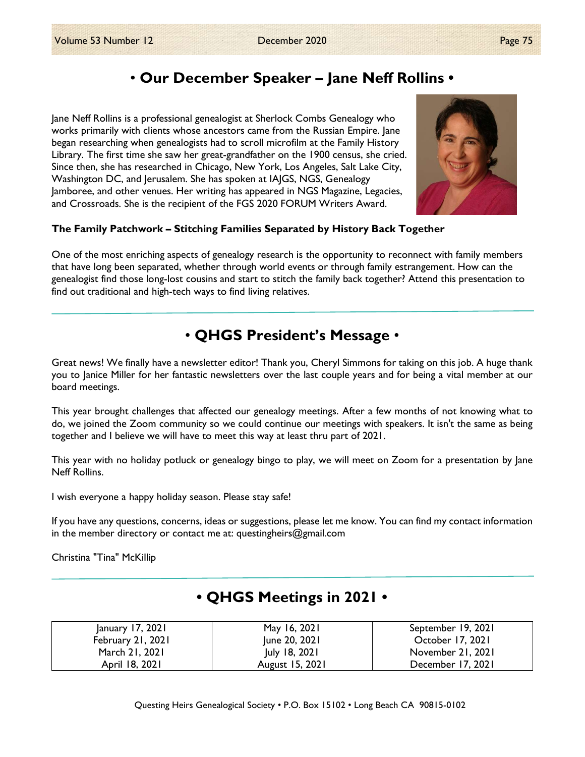# • Our December Speaker – Jane Neff Rollins •

Jane Neff Rollins is a professional genealogist at Sherlock Combs Genealogy who works primarily with clients whose ancestors came from the Russian Empire. Jane began researching when genealogists had to scroll microfilm at the Family History Library. The first time she saw her great-grandfather on the 1900 census, she cried. Since then, she has researched in Chicago, New York, Los Angeles, Salt Lake City, Washington DC, and Jerusalem. She has spoken at IAJGS, NGS, Genealogy Jamboree, and other venues. Her writing has appeared in NGS Magazine, Legacies, and Crossroads. She is the recipient of the FGS 2020 FORUM Writers Award.



# The Family Patchwork – Stitching Families Separated by History Back Together

One of the most enriching aspects of genealogy research is the opportunity to reconnect with family members that have long been separated, whether through world events or through family estrangement. How can the genealogist find those long-lost cousins and start to stitch the family back together? Attend this presentation to find out traditional and high-tech ways to find living relatives.

# • QHGS President's Message •

Great news! We finally have a newsletter editor! Thank you, Cheryl Simmons for taking on this job. A huge thank you to Janice Miller for her fantastic newsletters over the last couple years and for being a vital member at our board meetings.

This year brought challenges that affected our genealogy meetings. After a few months of not knowing what to do, we joined the Zoom community so we could continue our meetings with speakers. It isn't the same as being together and I believe we will have to meet this way at least thru part of 2021.

This year with no holiday potluck or genealogy bingo to play, we will meet on Zoom for a presentation by Jane Neff Rollins.

I wish everyone a happy holiday season. Please stay safe!

If you have any questions, concerns, ideas or suggestions, please let me know. You can find my contact information in the member directory or contact me at: questingheirs@gmail.com

Christina "Tina" McKillip

| January 17, 2021  | May 16, 2021    | September 19, 2021 |
|-------------------|-----------------|--------------------|
| February 21, 2021 | June 20, 2021   | October 17, 2021   |
| March 21, 2021    | July 18, 2021   | November 21, 2021  |
| April 18, 2021    | August 15, 2021 | December 17, 2021  |

# • QHGS Meetings in 2021 •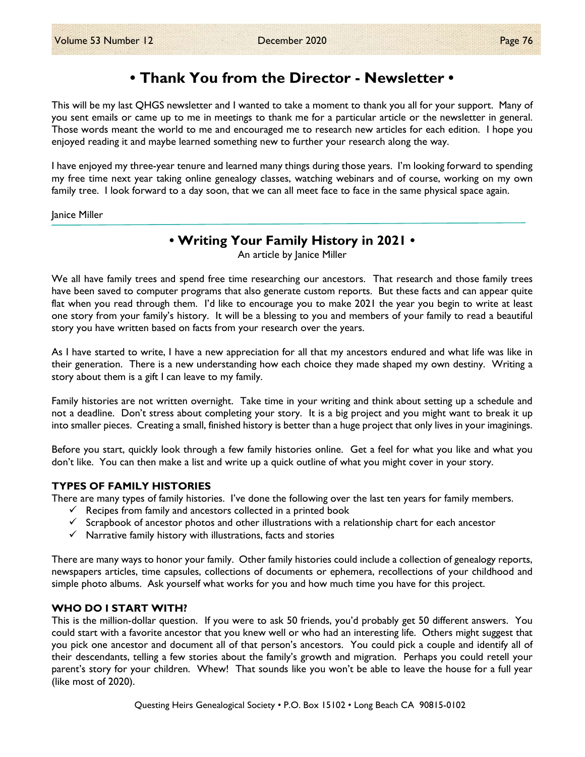# • Thank You from the Director - Newsletter •

This will be my last QHGS newsletter and I wanted to take a moment to thank you all for your support. Many of you sent emails or came up to me in meetings to thank me for a particular article or the newsletter in general. Those words meant the world to me and encouraged me to research new articles for each edition. I hope you enjoyed reading it and maybe learned something new to further your research along the way.

I have enjoyed my three-year tenure and learned many things during those years. I'm looking forward to spending my free time next year taking online genealogy classes, watching webinars and of course, working on my own family tree. I look forward to a day soon, that we can all meet face to face in the same physical space again.

#### Janice Miller

# • Writing Your Family History in 2021 •

An article by Janice Miller

We all have family trees and spend free time researching our ancestors. That research and those family trees have been saved to computer programs that also generate custom reports. But these facts and can appear quite flat when you read through them. I'd like to encourage you to make 2021 the year you begin to write at least one story from your family's history. It will be a blessing to you and members of your family to read a beautiful story you have written based on facts from your research over the years.

As I have started to write, I have a new appreciation for all that my ancestors endured and what life was like in their generation. There is a new understanding how each choice they made shaped my own destiny. Writing a story about them is a gift I can leave to my family.

Family histories are not written overnight. Take time in your writing and think about setting up a schedule and not a deadline. Don't stress about completing your story. It is a big project and you might want to break it up into smaller pieces. Creating a small, finished history is better than a huge project that only lives in your imaginings.

Before you start, quickly look through a few family histories online. Get a feel for what you like and what you don't like. You can then make a list and write up a quick outline of what you might cover in your story.

### TYPES OF FAMILY HISTORIES

There are many types of family histories. I've done the following over the last ten years for family members.

- $\checkmark$  Recipes from family and ancestors collected in a printed book
- $\checkmark$  Scrapbook of ancestor photos and other illustrations with a relationship chart for each ancestor
- $\checkmark$  Narrative family history with illustrations, facts and stories

There are many ways to honor your family. Other family histories could include a collection of genealogy reports, newspapers articles, time capsules, collections of documents or ephemera, recollections of your childhood and simple photo albums. Ask yourself what works for you and how much time you have for this project.

### WHO DO I START WITH?

This is the million-dollar question. If you were to ask 50 friends, you'd probably get 50 different answers. You could start with a favorite ancestor that you knew well or who had an interesting life. Others might suggest that you pick one ancestor and document all of that person's ancestors. You could pick a couple and identify all of their descendants, telling a few stories about the family's growth and migration. Perhaps you could retell your parent's story for your children. Whew! That sounds like you won't be able to leave the house for a full year (like most of 2020).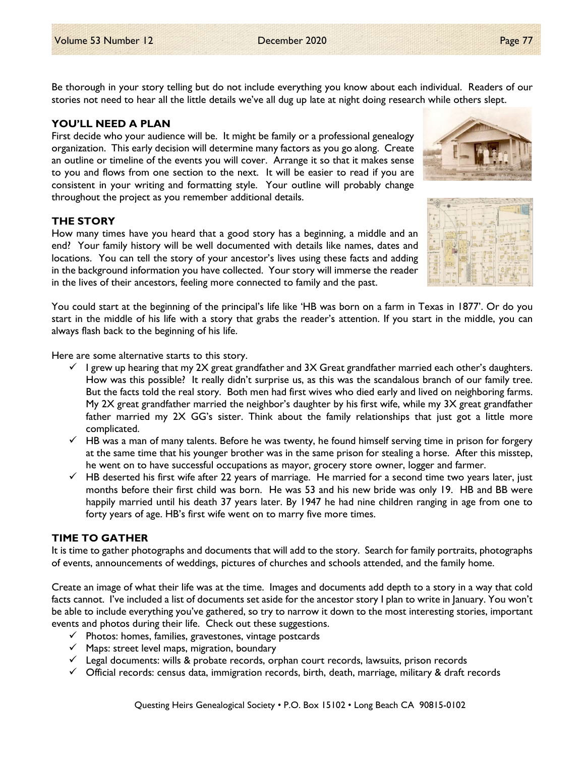Be thorough in your story telling but do not include everything you know about each individual. Readers of our stories not need to hear all the little details we've all dug up late at night doing research while others slept.

### YOU'LL NEED A PLAN

First decide who your audience will be. It might be family or a professional genealogy organization. This early decision will determine many factors as you go along. Create an outline or timeline of the events you will cover. Arrange it so that it makes sense to you and flows from one section to the next. It will be easier to read if you are consistent in your writing and formatting style. Your outline will probably change throughout the project as you remember additional details.

### THE STORY

How many times have you heard that a good story has a beginning, a middle and an end? Your family history will be well documented with details like names, dates and locations. You can tell the story of your ancestor's lives using these facts and adding in the background information you have collected. Your story will immerse the reader in the lives of their ancestors, feeling more connected to family and the past.

You could start at the beginning of the principal's life like 'HB was born on a farm in Texas in 1877'. Or do you start in the middle of his life with a story that grabs the reader's attention. If you start in the middle, you can always flash back to the beginning of his life.

Here are some alternative starts to this story.

- $\checkmark$  I grew up hearing that my 2X great grandfather and 3X Great grandfather married each other's daughters. How was this possible? It really didn't surprise us, as this was the scandalous branch of our family tree. But the facts told the real story. Both men had first wives who died early and lived on neighboring farms. My 2X great grandfather married the neighbor's daughter by his first wife, while my 3X great grandfather father married my 2X GG's sister. Think about the family relationships that just got a little more complicated.
- $\checkmark$  HB was a man of many talents. Before he was twenty, he found himself serving time in prison for forgery at the same time that his younger brother was in the same prison for stealing a horse. After this misstep, he went on to have successful occupations as mayor, grocery store owner, logger and farmer.
- $\checkmark$  HB deserted his first wife after 22 years of marriage. He married for a second time two years later, just months before their first child was born. He was 53 and his new bride was only 19. HB and BB were happily married until his death 37 years later. By 1947 he had nine children ranging in age from one to forty years of age. HB's first wife went on to marry five more times.

## TIME TO GATHER

It is time to gather photographs and documents that will add to the story. Search for family portraits, photographs of events, announcements of weddings, pictures of churches and schools attended, and the family home.

Create an image of what their life was at the time. Images and documents add depth to a story in a way that cold facts cannot. I've included a list of documents set aside for the ancestor story I plan to write in January. You won't be able to include everything you've gathered, so try to narrow it down to the most interesting stories, important events and photos during their life. Check out these suggestions.

- $\checkmark$  Photos: homes, families, gravestones, vintage postcards
- $\checkmark$  Maps: street level maps, migration, boundary
- $\checkmark$  Legal documents: wills & probate records, orphan court records, lawsuits, prison records
- $\checkmark$  Official records: census data, immigration records, birth, death, marriage, military & draft records



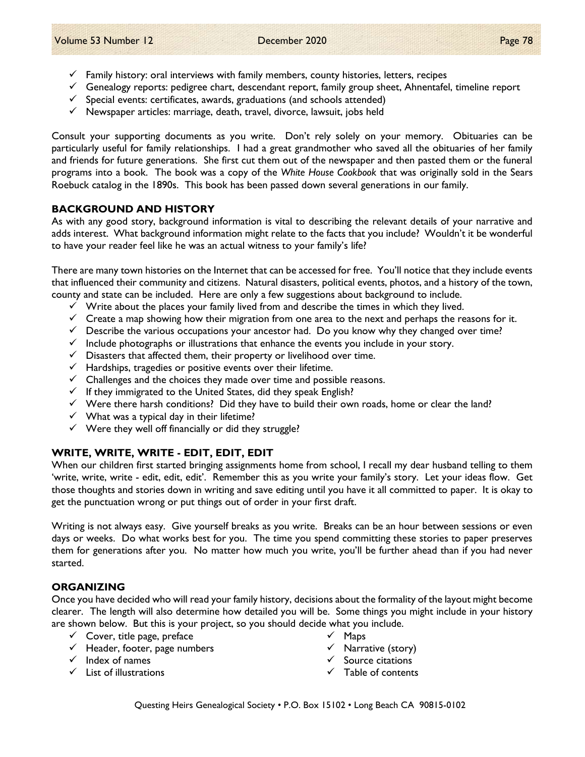- $\checkmark$  Family history: oral interviews with family members, county histories, letters, recipes
- $\checkmark$  Genealogy reports: pedigree chart, descendant report, family group sheet, Ahnentafel, timeline report
- $\checkmark$  Special events: certificates, awards, graduations (and schools attended)
- $\checkmark$  Newspaper articles: marriage, death, travel, divorce, lawsuit, jobs held

Consult your supporting documents as you write. Don't rely solely on your memory. Obituaries can be particularly useful for family relationships. I had a great grandmother who saved all the obituaries of her family and friends for future generations. She first cut them out of the newspaper and then pasted them or the funeral programs into a book. The book was a copy of the White House Cookbook that was originally sold in the Sears Roebuck catalog in the 1890s. This book has been passed down several generations in our family.

### BACKGROUND AND HISTORY

As with any good story, background information is vital to describing the relevant details of your narrative and adds interest. What background information might relate to the facts that you include? Wouldn't it be wonderful to have your reader feel like he was an actual witness to your family's life?

There are many town histories on the Internet that can be accessed for free. You'll notice that they include events that influenced their community and citizens. Natural disasters, political events, photos, and a history of the town, county and state can be included. Here are only a few suggestions about background to include.

- $\checkmark$  Write about the places your family lived from and describe the times in which they lived.
- $\checkmark$  Create a map showing how their migration from one area to the next and perhaps the reasons for it.
- $\checkmark$  Describe the various occupations your ancestor had. Do you know why they changed over time?
- $\checkmark$  Include photographs or illustrations that enhance the events you include in your story.
- $\checkmark$  Disasters that affected them, their property or livelihood over time.
- $\checkmark$  Hardships, tragedies or positive events over their lifetime.
- $\checkmark$  Challenges and the choices they made over time and possible reasons.
- $\checkmark$  If they immigrated to the United States, did they speak English?
- $\checkmark$  Were there harsh conditions? Did they have to build their own roads, home or clear the land?
- $\checkmark$  What was a typical day in their lifetime?
- $\checkmark$  Were they well off financially or did they struggle?

### WRITE, WRITE, WRITE - EDIT, EDIT, EDIT

When our children first started bringing assignments home from school, I recall my dear husband telling to them 'write, write, write - edit, edit, edit'. Remember this as you write your family's story. Let your ideas flow. Get those thoughts and stories down in writing and save editing until you have it all committed to paper. It is okay to get the punctuation wrong or put things out of order in your first draft.

Writing is not always easy. Give yourself breaks as you write. Breaks can be an hour between sessions or even days or weeks. Do what works best for you. The time you spend committing these stories to paper preserves them for generations after you. No matter how much you write, you'll be further ahead than if you had never started.

### ORGANIZING

Once you have decided who will read your family history, decisions about the formality of the layout might become clearer. The length will also determine how detailed you will be. Some things you might include in your history are shown below. But this is your project, so you should decide what you include.

- $\checkmark$  Cover, title page, preface
- $\checkmark$  Header, footer, page numbers
- $\checkmark$  Index of names
- $\checkmark$  List of illustrations
- $\checkmark$  Maps
- $\checkmark$  Narrative (story)
- $\checkmark$  Source citations
- $\checkmark$  Table of contents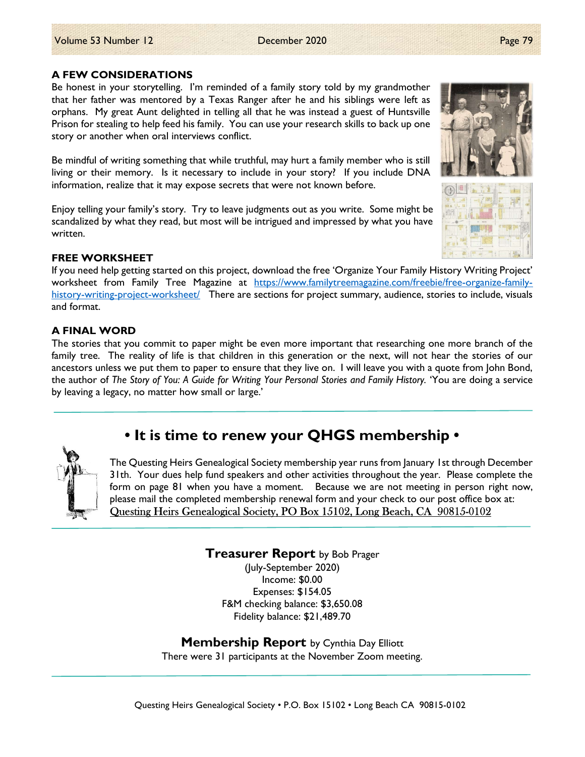### A FEW CONSIDERATIONS

Be honest in your storytelling. I'm reminded of a family story told by my grandmother that her father was mentored by a Texas Ranger after he and his siblings were left as orphans. My great Aunt delighted in telling all that he was instead a guest of Huntsville Prison for stealing to help feed his family. You can use your research skills to back up one story or another when oral interviews conflict.

Be mindful of writing something that while truthful, may hurt a family member who is still living or their memory. Is it necessary to include in your story? If you include DNA information, realize that it may expose secrets that were not known before.

Enjoy telling your family's story. Try to leave judgments out as you write. Some might be scandalized by what they read, but most will be intrigued and impressed by what you have written.

### FREE WORKSHEET

If you need help getting started on this project, download the free 'Organize Your Family History Writing Project' worksheet from Family Tree Magazine at https://www.familytreemagazine.com/freebie/free-organize-familyhistory-writing-project-worksheet/ There are sections for project summary, audience, stories to include, visuals and format.

## A FINAL WORD

The stories that you commit to paper might be even more important that researching one more branch of the family tree. The reality of life is that children in this generation or the next, will not hear the stories of our ancestors unless we put them to paper to ensure that they live on. I will leave you with a quote from John Bond, the author of The Story of You: A Guide for Writing Your Personal Stories and Family History. 'You are doing a service by leaving a legacy, no matter how small or large.'

# • It is time to renew your QHGS membership •

The Questing Heirs Genealogical Society membership year runs from January 1st through December 31th. Your dues help fund speakers and other activities throughout the year. Please complete the form on page 81 when you have a moment. Because we are not meeting in person right now, please mail the completed membership renewal form and your check to our post office box at: Questing Heirs Genealogical Society, PO Box 15102, Long Beach, CA 90815-0102

> **Treasurer Report** by Bob Prager (July-September 2020) Income: \$0.00 Expenses: \$154.05 F&M checking balance: \$3,650.08 Fidelity balance: \$21,489.70

**Membership Report** by Cynthia Day Elliott There were 31 participants at the November Zoom meeting.



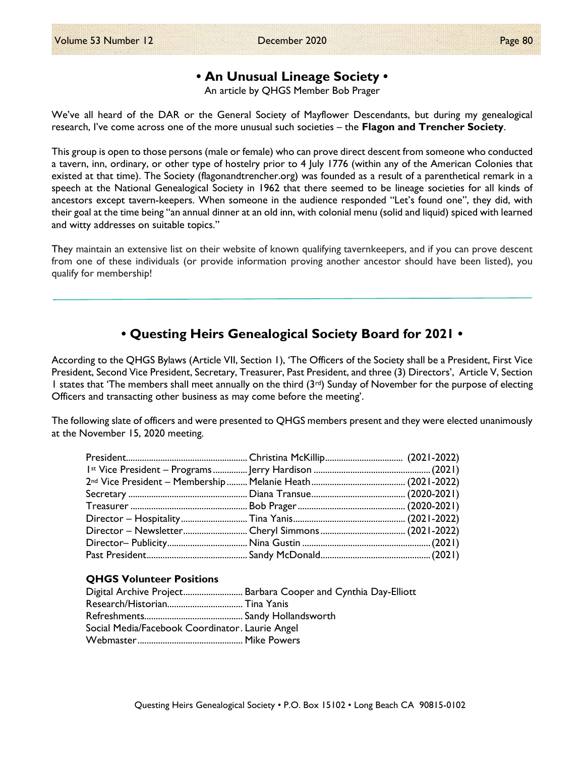# • An Unusual Lineage Society •

An article by QHGS Member Bob Prager

We've all heard of the DAR or the General Society of Mayflower Descendants, but during my genealogical research, I've come across one of the more unusual such societies – the Flagon and Trencher Society.

This group is open to those persons (male or female) who can prove direct descent from someone who conducted a tavern, inn, ordinary, or other type of hostelry prior to 4 July 1776 (within any of the American Colonies that existed at that time). The Society (flagonandtrencher.org) was founded as a result of a parenthetical remark in a speech at the National Genealogical Society in 1962 that there seemed to be lineage societies for all kinds of ancestors except tavern-keepers. When someone in the audience responded "Let's found one", they did, with their goal at the time being "an annual dinner at an old inn, with colonial menu (solid and liquid) spiced with learned and witty addresses on suitable topics."

They maintain an extensive list on their website of known qualifying tavernkeepers, and if you can prove descent from one of these individuals (or provide information proving another ancestor should have been listed), you qualify for membership!

# • Questing Heirs Genealogical Society Board for 2021 •

According to the QHGS Bylaws (Article VII, Section 1), 'The Officers of the Society shall be a President, First Vice President, Second Vice President, Secretary, Treasurer, Past President, and three (3) Directors', Article V, Section 1 states that 'The members shall meet annually on the third  $(3<sup>rd</sup>)$  Sunday of November for the purpose of electing Officers and transacting other business as may come before the meeting'.

The following slate of officers and were presented to QHGS members present and they were elected unanimously at the November 15, 2020 meeting.

### QHGS Volunteer Positions

|                                                 | Digital Archive Project Barbara Cooper and Cynthia Day-Elliott |
|-------------------------------------------------|----------------------------------------------------------------|
|                                                 |                                                                |
|                                                 |                                                                |
| Social Media/Facebook Coordinator. Laurie Angel |                                                                |
|                                                 |                                                                |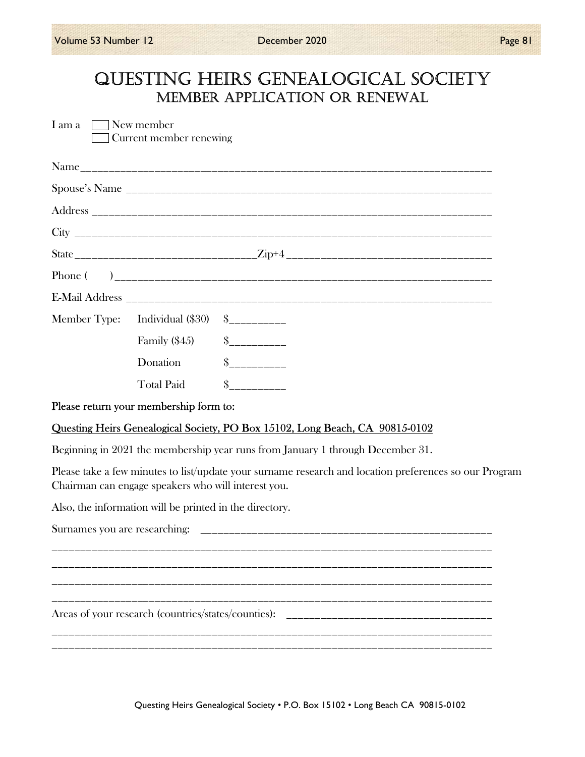# QUESTING HEIRS GENEALOGICAL SOCIETY MEMbER AppLICATION OR RENEwAL

| I am a $\Box$ New member | Current member renewing                                 |                                                                                                        |
|--------------------------|---------------------------------------------------------|--------------------------------------------------------------------------------------------------------|
|                          |                                                         |                                                                                                        |
|                          |                                                         |                                                                                                        |
|                          |                                                         |                                                                                                        |
|                          |                                                         |                                                                                                        |
|                          |                                                         |                                                                                                        |
|                          |                                                         |                                                                                                        |
|                          |                                                         |                                                                                                        |
|                          |                                                         |                                                                                                        |
|                          | Family $(\$45)$ $\qquad \quad \$$                       |                                                                                                        |
|                          | Donation                                                | $\frac{1}{2}$                                                                                          |
|                          | <b>Total Paid</b>                                       | $S$ ___________                                                                                        |
|                          | Please return your membership form to:                  |                                                                                                        |
|                          |                                                         | Questing Heirs Genealogical Society, PO Box 15102, Long Beach, CA 90815-0102                           |
|                          |                                                         | Beginning in 2021 the membership year runs from January 1 through December 31.                         |
|                          | Chairman can engage speakers who will interest you.     | Please take a few minutes to list/update your surname research and location preferences so our Program |
|                          | Also, the information will be printed in the directory. |                                                                                                        |
|                          |                                                         |                                                                                                        |
|                          |                                                         |                                                                                                        |
|                          | Areas of your research (countries/states/counties):     |                                                                                                        |
|                          |                                                         |                                                                                                        |

Questing Heirs Genealogical Society • P.O. Box 15102 • Long Beach CA 90815-0102